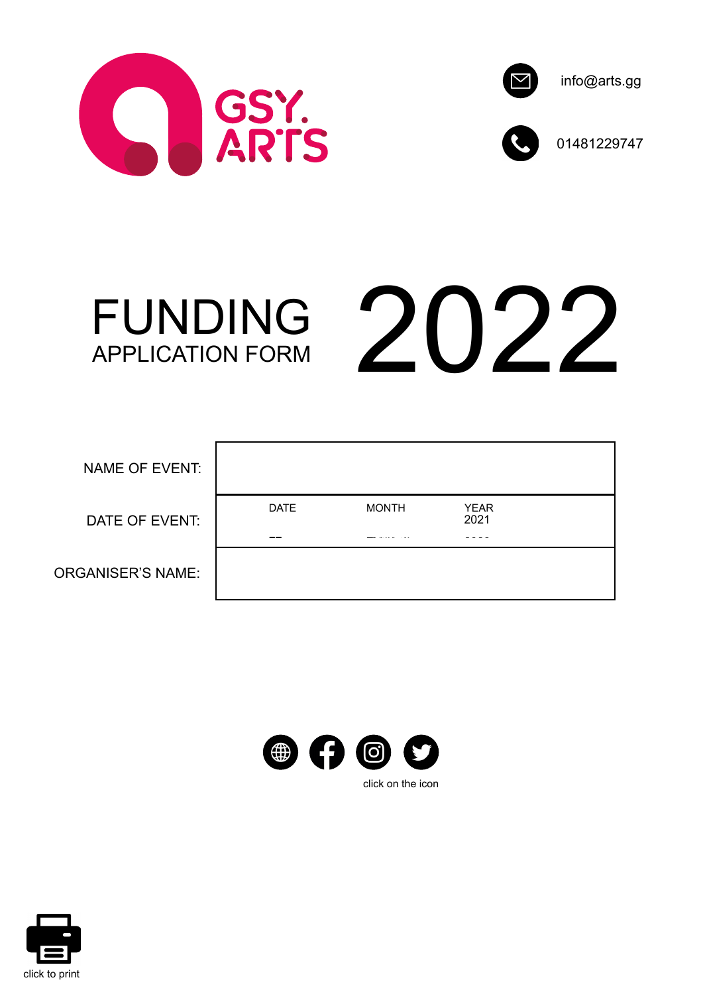





01481229747

FUNDING



| NAME OF EVENT:           |                                 |                        |                          |  |
|--------------------------|---------------------------------|------------------------|--------------------------|--|
| DATE OF EVENT:           | <b>DATE</b><br>$\sim$ 10 $\sim$ | <b>MONTH</b><br>------ | <b>YEAR</b><br>2021<br>. |  |
| <b>ORGANISER'S NAME:</b> |                                 |                        |                          |  |



click on the icon

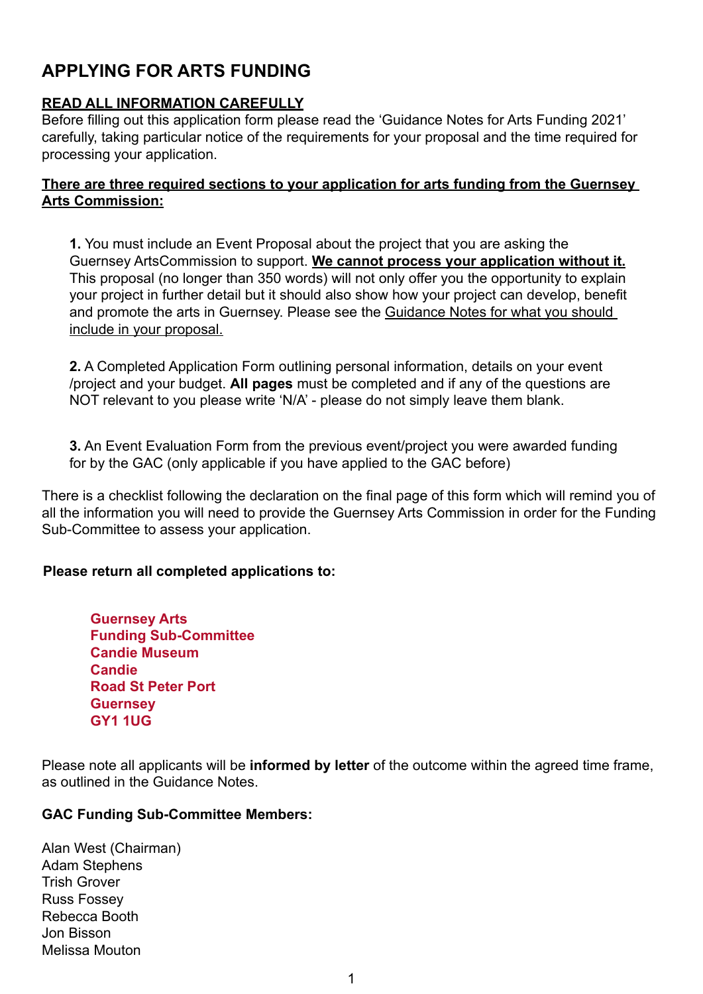# **APPLYING FOR ARTS FUNDING**

## **READ ALL INFORMATION CAREFULLY**

Before filling out this application form please read the 'Guidance Notes for Arts Funding 2021' carefully, taking particular notice of the requirements for your proposal and the time required for processing your application.

### **There are three required sections to your application for arts funding from the Guernsey Arts Commission:**

**1.** You must include an Event Proposal about the project that you are asking the Guernsey ArtsCommission to support. **We cannot process your application without it.** This proposal (no longer than 350 words) will not only offer you the opportunity to explain your project in further detail but it should also show how your project can develop, benefit and promote the arts in Guernsey. Please see the Guidance Notes for what you should include in your proposal.

**2.** A Completed Application Form outlining personal information, details on your event /project and your budget. **All pages** must be completed and if any of the questions are NOT relevant to you please write 'N/A' - please do not simply leave them blank.

**3.** An Event Evaluation Form from the previous event/project you were awarded funding for by the GAC (only applicable if you have applied to the GAC before)

There is a checklist following the declaration on the final page of this form which will remind you of all the information you will need to provide the Guernsey Arts Commission in order for the Funding Sub-Committee to assess your application.

### **Please return all completed applications to:**

**Guernsey Arts Funding Sub-Committee Candie Museum Candie Road St Peter Port Guernsey GY1 1UG**

Please note all applicants will be **informed by letter** of the outcome within the agreed time frame, as outlined in the Guidance Notes.

### **GAC Funding Sub-Committee Members:**

Alan West (Chairman) Adam Stephens Trish Grover Russ Fossey Rebecca Booth Jon Bisson Melissa Mouton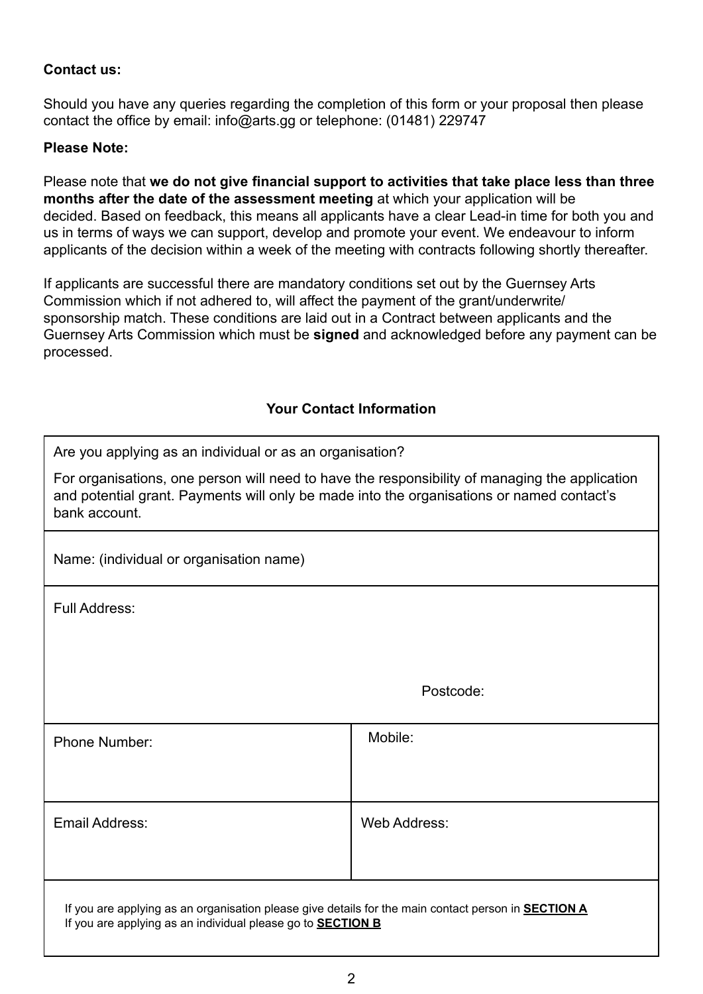#### **Contact us:**

Should you have any queries regarding the completion of this form or your proposal then please contact the office by email: info@arts.gg or telephone: (01481) 229747

#### **Please Note:**

Please note that **we do not give financial support to activities that take place less than three months after the date of the assessment meeting** at which your application will be decided. Based on feedback, this means all applicants have a clear Lead-in time for both you and us in terms of ways we can support, develop and promote your event. We endeavour to inform applicants of the decision within a week of the meeting with contracts following shortly thereafter.

If applicants are successful there are mandatory conditions set out by the Guernsey Arts Commission which if not adhered to, will affect the payment of the grant/underwrite/ sponsorship match. These conditions are laid out in a Contract between applicants and the Guernsey Arts Commission which must be **signed** and acknowledged before any payment can be processed.

#### **Your Contact Information**

Are you applying as an individual or as an organisation?

For organisations, one person will need to have the responsibility of managing the application and potential grant. Payments will only be made into the organisations or named contact's bank account.

Name: (individual or organisation name)

Full Address:

| <b>Phone Number:</b>                                                                                       | Mobile:      |  |  |
|------------------------------------------------------------------------------------------------------------|--------------|--|--|
|                                                                                                            |              |  |  |
| Email Address:                                                                                             | Web Address: |  |  |
| If you are applying as an organisation please give details for the main contact person in <b>SECTION A</b> |              |  |  |

If you are applying as an individual please go to **SECTION B**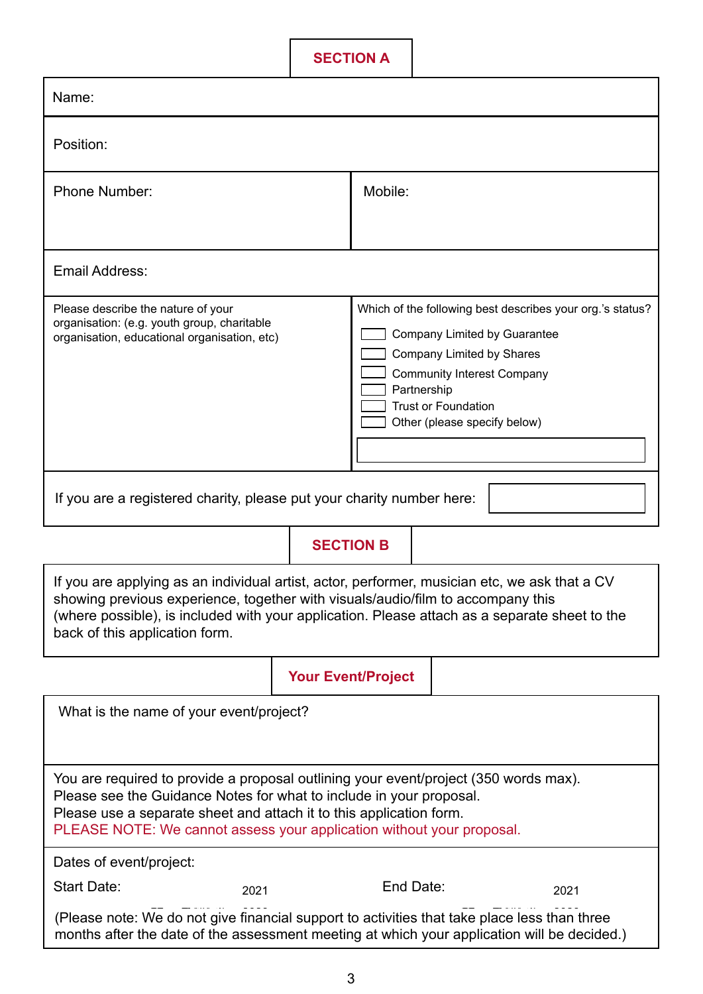**SECTION A**

| Name:                                                                                                                                                                                                                                                                                                               |                           |                                                                                                                                                                                                                                          |           |      |  |  |
|---------------------------------------------------------------------------------------------------------------------------------------------------------------------------------------------------------------------------------------------------------------------------------------------------------------------|---------------------------|------------------------------------------------------------------------------------------------------------------------------------------------------------------------------------------------------------------------------------------|-----------|------|--|--|
| Position:                                                                                                                                                                                                                                                                                                           |                           |                                                                                                                                                                                                                                          |           |      |  |  |
| <b>Phone Number:</b>                                                                                                                                                                                                                                                                                                |                           | Mobile:                                                                                                                                                                                                                                  |           |      |  |  |
|                                                                                                                                                                                                                                                                                                                     |                           |                                                                                                                                                                                                                                          |           |      |  |  |
| <b>Email Address:</b>                                                                                                                                                                                                                                                                                               |                           |                                                                                                                                                                                                                                          |           |      |  |  |
| Please describe the nature of your<br>organisation: (e.g. youth group, charitable<br>organisation, educational organisation, etc)                                                                                                                                                                                   |                           | Which of the following best describes your org.'s status?<br>Company Limited by Guarantee<br>Company Limited by Shares<br><b>Community Interest Company</b><br>Partnership<br><b>Trust or Foundation</b><br>Other (please specify below) |           |      |  |  |
| If you are a registered charity, please put your charity number here:                                                                                                                                                                                                                                               |                           |                                                                                                                                                                                                                                          |           |      |  |  |
|                                                                                                                                                                                                                                                                                                                     | <b>SECTION B</b>          |                                                                                                                                                                                                                                          |           |      |  |  |
| If you are applying as an individual artist, actor, performer, musician etc, we ask that a CV<br>showing previous experience, together with visuals/audio/film to accompany this<br>(where possible), is included with your application. Please attach as a separate sheet to the<br>back of this application form. |                           |                                                                                                                                                                                                                                          |           |      |  |  |
|                                                                                                                                                                                                                                                                                                                     | <b>Your Event/Project</b> |                                                                                                                                                                                                                                          |           |      |  |  |
| What is the name of your event/project?                                                                                                                                                                                                                                                                             |                           |                                                                                                                                                                                                                                          |           |      |  |  |
| You are required to provide a proposal outlining your event/project (350 words max).<br>Please see the Guidance Notes for what to include in your proposal.<br>Please use a separate sheet and attach it to this application form.<br>PLEASE NOTE: We cannot assess your application without your proposal.         |                           |                                                                                                                                                                                                                                          |           |      |  |  |
| Dates of event/project:                                                                                                                                                                                                                                                                                             |                           |                                                                                                                                                                                                                                          |           |      |  |  |
| Start Date:<br>2021                                                                                                                                                                                                                                                                                                 |                           |                                                                                                                                                                                                                                          | End Date: | 2021 |  |  |
| (Please note: We do not give financial support to activities that take place less than three<br>months after the date of the assessment meeting at which your application will be decided.)                                                                                                                         |                           |                                                                                                                                                                                                                                          |           |      |  |  |

I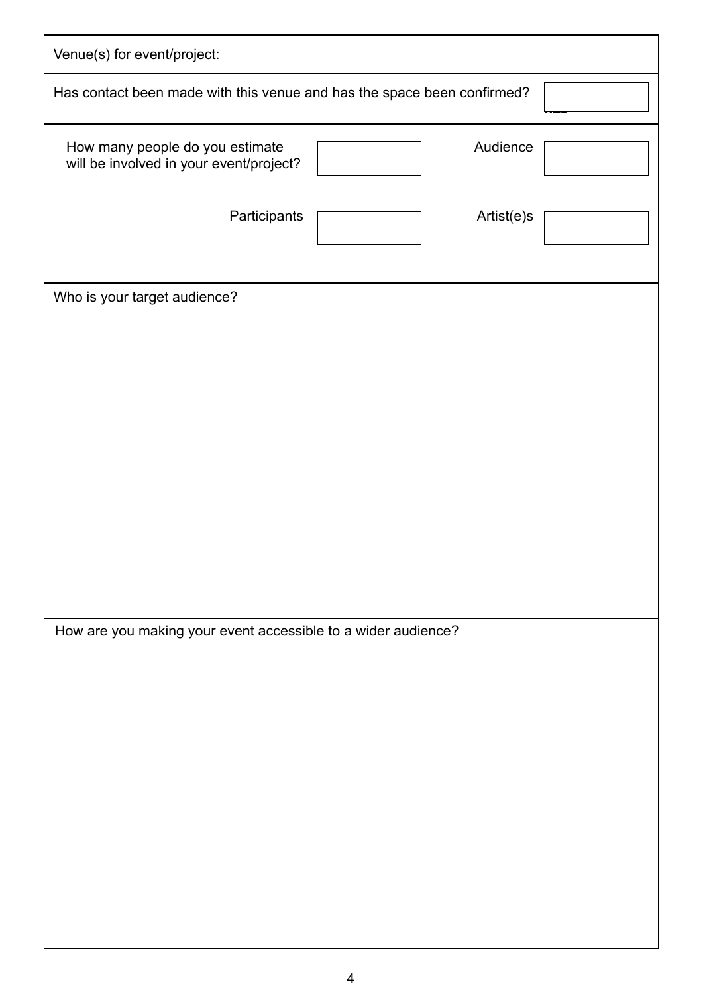| Venue(s) for event/project:                                                            |
|----------------------------------------------------------------------------------------|
| Has contact been made with this venue and has the space been confirmed?                |
| Audience<br>How many people do you estimate<br>will be involved in your event/project? |
| Participants<br>Artist(e)s                                                             |
| Who is your target audience?                                                           |
|                                                                                        |
|                                                                                        |
|                                                                                        |
|                                                                                        |
|                                                                                        |
|                                                                                        |
|                                                                                        |
|                                                                                        |
|                                                                                        |
| How are you making your event accessible to a wider audience?                          |
|                                                                                        |
|                                                                                        |
|                                                                                        |
|                                                                                        |
|                                                                                        |
|                                                                                        |
|                                                                                        |
|                                                                                        |
|                                                                                        |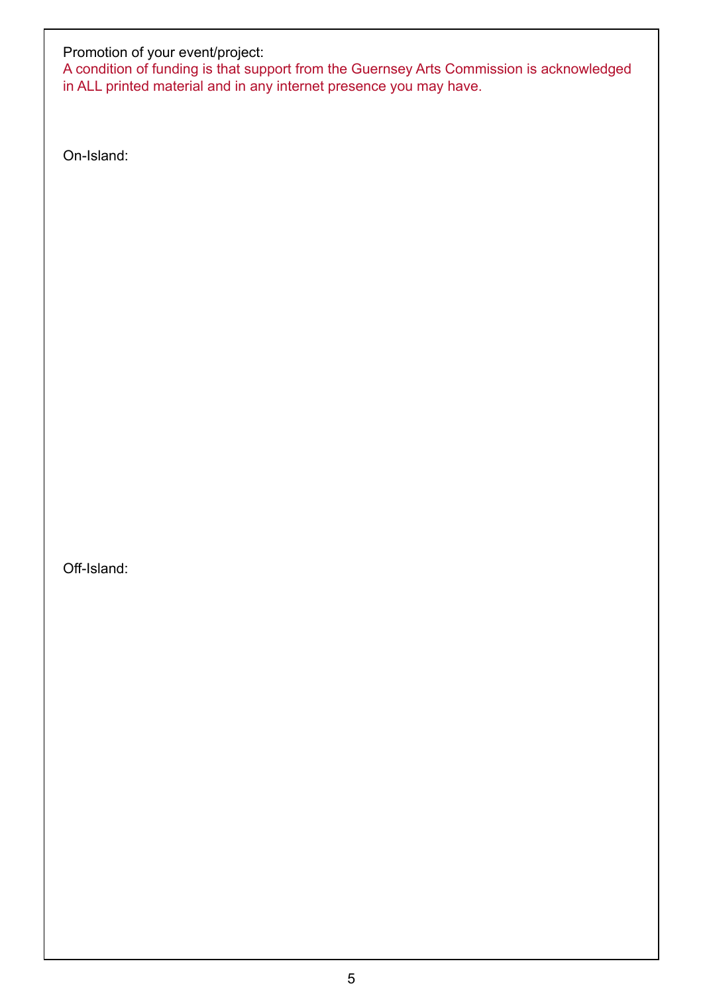#### Promotion of your event/project:

A condition of funding is that support from the Guernsey Arts Commission is acknowledged in ALL printed material and in any internet presence you may have.

On-Island:

Off-Island: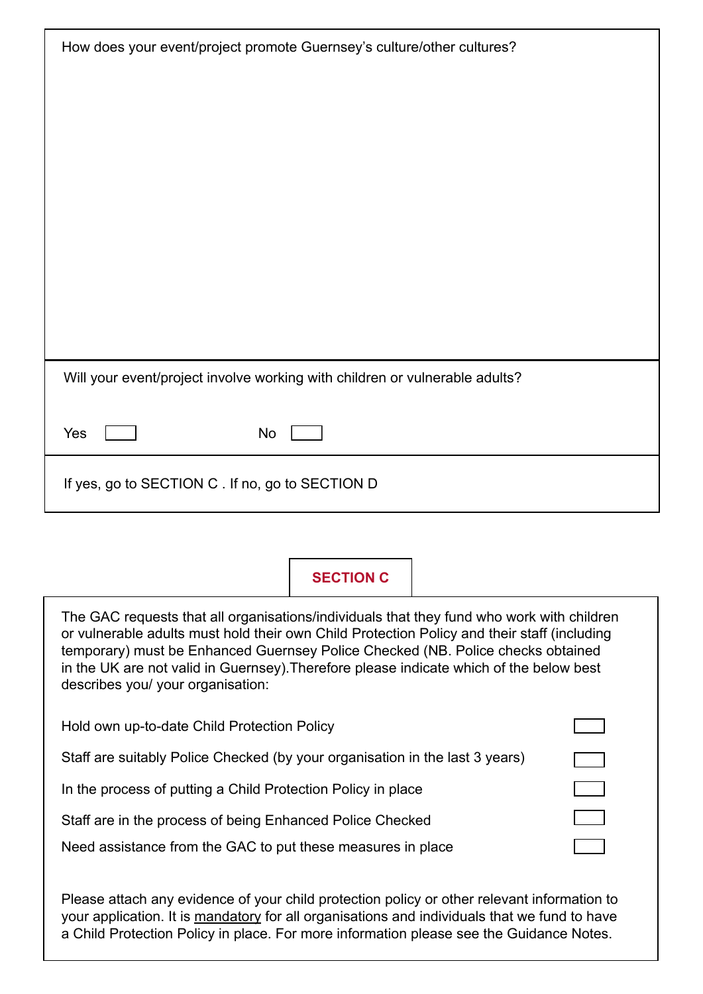| How does your event/project promote Guernsey's culture/other cultures?      |  |  |  |  |
|-----------------------------------------------------------------------------|--|--|--|--|
|                                                                             |  |  |  |  |
|                                                                             |  |  |  |  |
|                                                                             |  |  |  |  |
|                                                                             |  |  |  |  |
|                                                                             |  |  |  |  |
|                                                                             |  |  |  |  |
|                                                                             |  |  |  |  |
|                                                                             |  |  |  |  |
|                                                                             |  |  |  |  |
| Will your event/project involve working with children or vulnerable adults? |  |  |  |  |
| No<br>Yes                                                                   |  |  |  |  |
| If yes, go to SECTION C. If no, go to SECTION D                             |  |  |  |  |
|                                                                             |  |  |  |  |

# **SECTION C**

| The GAC requests that all organisations/individuals that they fund who work with children<br>or vulnerable adults must hold their own Child Protection Policy and their staff (including<br>temporary) must be Enhanced Guernsey Police Checked (NB. Police checks obtained<br>in the UK are not valid in Guernsey). Therefore please indicate which of the below best<br>describes you/ your organisation: |  |  |  |  |
|-------------------------------------------------------------------------------------------------------------------------------------------------------------------------------------------------------------------------------------------------------------------------------------------------------------------------------------------------------------------------------------------------------------|--|--|--|--|
| Hold own up-to-date Child Protection Policy                                                                                                                                                                                                                                                                                                                                                                 |  |  |  |  |
| Staff are suitably Police Checked (by your organisation in the last 3 years)                                                                                                                                                                                                                                                                                                                                |  |  |  |  |
| In the process of putting a Child Protection Policy in place                                                                                                                                                                                                                                                                                                                                                |  |  |  |  |
| Staff are in the process of being Enhanced Police Checked                                                                                                                                                                                                                                                                                                                                                   |  |  |  |  |
| Need assistance from the GAC to put these measures in place                                                                                                                                                                                                                                                                                                                                                 |  |  |  |  |

Please attach any evidence of your child protection policy or other relevant information to your application. It is <u>mandatory</u> for all organisations and individuals that we fund to have a Child Protection Policy in place. For more information please see the Guidance Notes.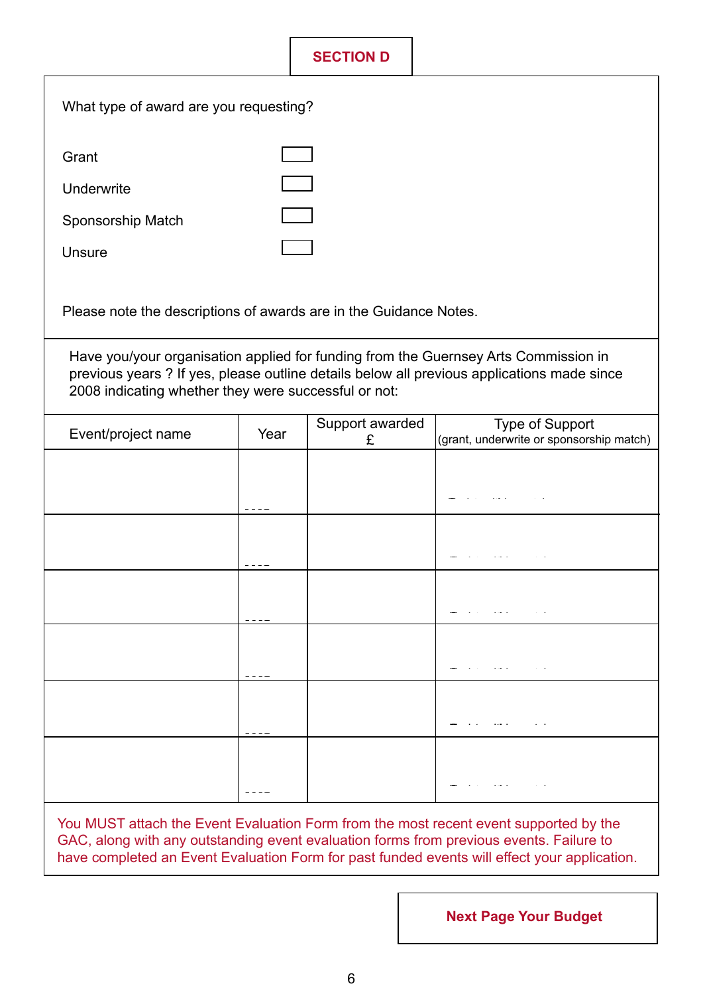# **SECTION D**

| What type of award are you requesting?                                                                                                                                                                                                    |                                                                   |                      |                                                                                                             |  |  |  |  |  |  |  |
|-------------------------------------------------------------------------------------------------------------------------------------------------------------------------------------------------------------------------------------------|-------------------------------------------------------------------|----------------------|-------------------------------------------------------------------------------------------------------------|--|--|--|--|--|--|--|
| Grant                                                                                                                                                                                                                                     |                                                                   |                      |                                                                                                             |  |  |  |  |  |  |  |
| Underwrite                                                                                                                                                                                                                                |                                                                   |                      |                                                                                                             |  |  |  |  |  |  |  |
| Sponsorship Match                                                                                                                                                                                                                         |                                                                   |                      |                                                                                                             |  |  |  |  |  |  |  |
| <b>Unsure</b>                                                                                                                                                                                                                             |                                                                   |                      |                                                                                                             |  |  |  |  |  |  |  |
|                                                                                                                                                                                                                                           | Please note the descriptions of awards are in the Guidance Notes. |                      |                                                                                                             |  |  |  |  |  |  |  |
| Have you/your organisation applied for funding from the Guernsey Arts Commission in<br>previous years ? If yes, please outline details below all previous applications made since<br>2008 indicating whether they were successful or not: |                                                                   |                      |                                                                                                             |  |  |  |  |  |  |  |
| Event/project name                                                                                                                                                                                                                        | Year                                                              | Support awarded<br>£ | Type of Support<br>(grant, underwrite or sponsorship match)                                                 |  |  |  |  |  |  |  |
|                                                                                                                                                                                                                                           |                                                                   |                      |                                                                                                             |  |  |  |  |  |  |  |
|                                                                                                                                                                                                                                           |                                                                   |                      |                                                                                                             |  |  |  |  |  |  |  |
|                                                                                                                                                                                                                                           |                                                                   |                      |                                                                                                             |  |  |  |  |  |  |  |
|                                                                                                                                                                                                                                           | .                                                                 |                      | with the contract of the contract of                                                                        |  |  |  |  |  |  |  |
|                                                                                                                                                                                                                                           | .                                                                 |                      | where the contract of the contract of                                                                       |  |  |  |  |  |  |  |
|                                                                                                                                                                                                                                           |                                                                   |                      | where the contract of the contract of                                                                       |  |  |  |  |  |  |  |
|                                                                                                                                                                                                                                           | .                                                                 |                      | $\mathcal{L}(\mathcal{L})$ , where $\mathcal{L}(\mathcal{L})$ is a subset of the $\mathcal{L}(\mathcal{L})$ |  |  |  |  |  |  |  |

GAC, along with any outstanding event evaluation forms from previous events. Failure to have completed an Event Evaluation Form for past funded events will effect your application.

**Next Page Your Budget**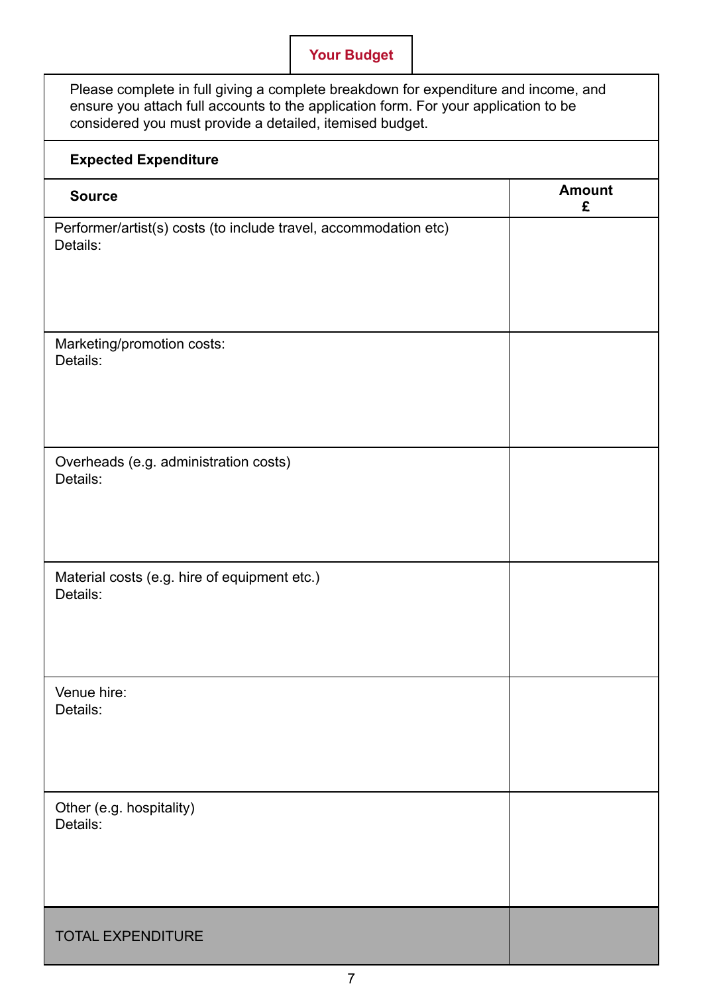# **Your Budget**

| Please complete in full giving a complete breakdown for expenditure and income, and<br>ensure you attach full accounts to the application form. For your application to be<br>considered you must provide a detailed, itemised budget. |                    |  |  |  |
|----------------------------------------------------------------------------------------------------------------------------------------------------------------------------------------------------------------------------------------|--------------------|--|--|--|
| <b>Expected Expenditure</b>                                                                                                                                                                                                            |                    |  |  |  |
| <b>Source</b>                                                                                                                                                                                                                          | <b>Amount</b><br>£ |  |  |  |
| Performer/artist(s) costs (to include travel, accommodation etc)<br>Details:                                                                                                                                                           |                    |  |  |  |
| Marketing/promotion costs:<br>Details:                                                                                                                                                                                                 |                    |  |  |  |
| Overheads (e.g. administration costs)<br>Details:                                                                                                                                                                                      |                    |  |  |  |
| Material costs (e.g. hire of equipment etc.)<br>Details:                                                                                                                                                                               |                    |  |  |  |
| Venue hire:<br>Details:                                                                                                                                                                                                                |                    |  |  |  |
| Other (e.g. hospitality)<br>Details:                                                                                                                                                                                                   |                    |  |  |  |
| <b>TOTAL EXPENDITURE</b>                                                                                                                                                                                                               |                    |  |  |  |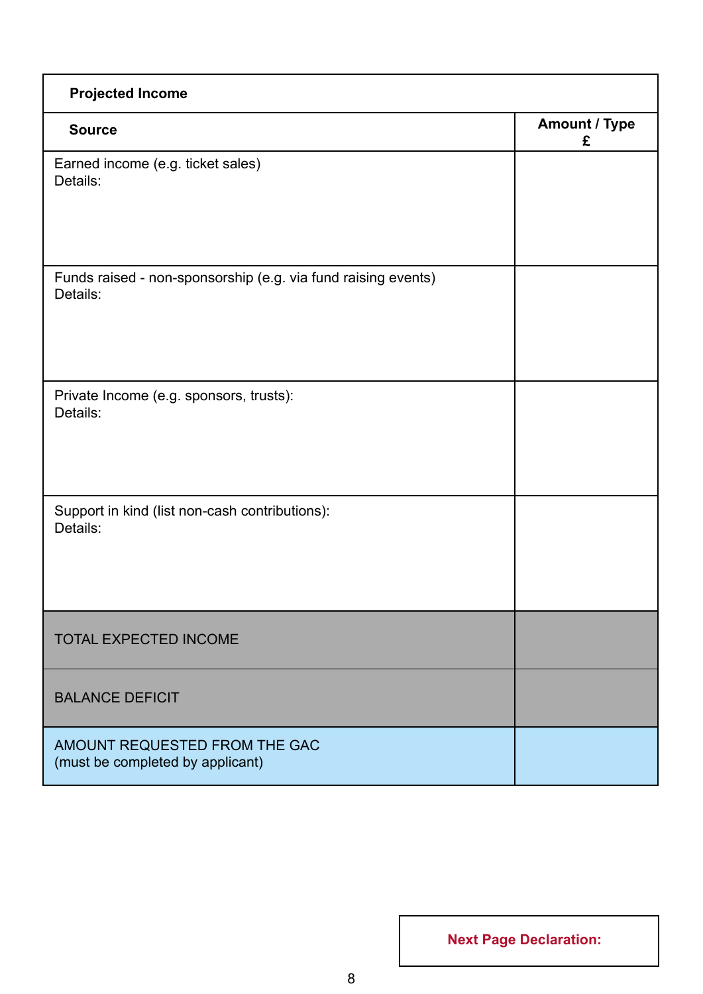| <b>Projected Income</b>                                                   |                           |  |  |  |
|---------------------------------------------------------------------------|---------------------------|--|--|--|
| <b>Source</b>                                                             | <b>Amount / Type</b><br>£ |  |  |  |
| Earned income (e.g. ticket sales)<br>Details:                             |                           |  |  |  |
| Funds raised - non-sponsorship (e.g. via fund raising events)<br>Details: |                           |  |  |  |
| Private Income (e.g. sponsors, trusts):<br>Details:                       |                           |  |  |  |
| Support in kind (list non-cash contributions):<br>Details:                |                           |  |  |  |
| <b>TOTAL EXPECTED INCOME</b>                                              |                           |  |  |  |
| <b>BALANCE DEFICIT</b>                                                    |                           |  |  |  |
| AMOUNT REQUESTED FROM THE GAC<br>(must be completed by applicant)         |                           |  |  |  |

**Next Page Declaration:**